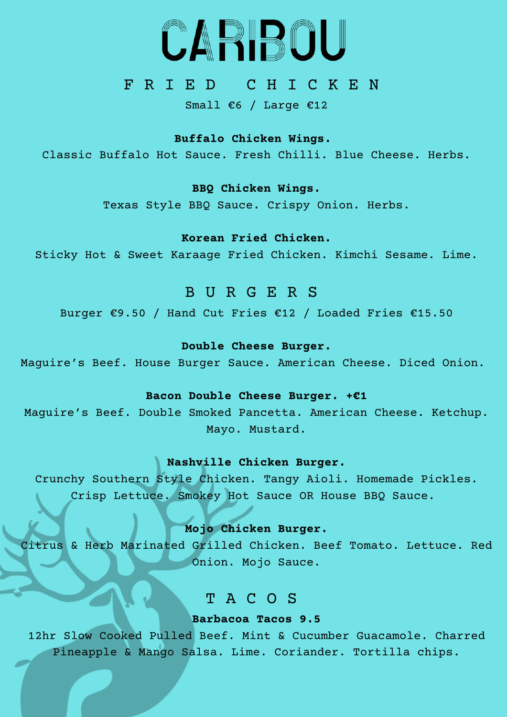

## F R I E D C H I C K E N

Small €6 / Large €12

#### **Buffalo Chicken Wings.**

Classic Buffalo Hot Sauce. Fresh Chilli. Blue Cheese. Herbs.

## **BBQ Chicken Wings.**

Texas Style BBQ Sauce. Crispy Onion. Herbs.

## **Korean Fried Chicken.**

Sticky Hot & Sweet Karaage Fried Chicken. Kimchi Sesame. Lime.

## B U R G E R S

Burger €9.50 / Hand Cut Fries €12 / Loaded Fries €15.50

### **Double Cheese Burger.**

Maguire's Beef. House Burger Sauce. American Cheese. Diced Onion.

#### **Bacon Double Cheese Burger. +€1**

Maguire's Beef. Double Smoked Pancetta. American Cheese. Ketchup. Mayo. Mustard.

### **Nashville Chicken Burger.**

Crunchy Southern Style Chicken. Tangy Aioli. Homemade Pickles. Crisp Lettuce. Smokey Hot Sauce OR House BBQ Sauce.

### **Mojo Chicken Burger.**

Citrus & Herb Marinated Grilled Chicken. Beef Tomato. Lettuce. Red Onion. Mojo Sauce.

# T A C O S

## **Barbacoa Tacos 9.5**

12hr Slow Cooked Pulled Beef. Mint & Cucumber Guacamole. Charred Pineapple & Mango Salsa. Lime. Coriander. Tortilla chips.